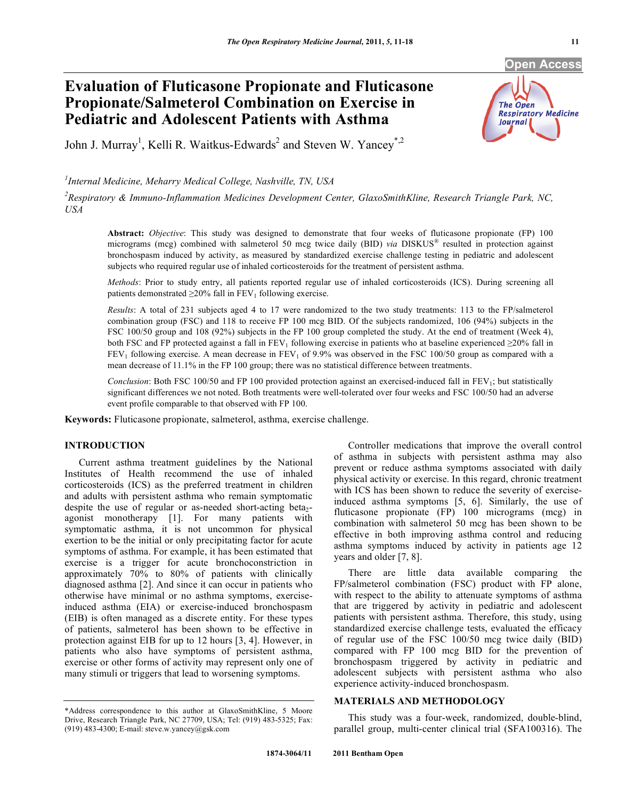# **Evaluation of Fluticasone Propionate and Fluticasone Propionate/Salmeterol Combination on Exercise in Pediatric and Adolescent Patients with Asthma**



John J. Murray<sup>1</sup>, Kelli R. Waitkus-Edwards<sup>2</sup> and Steven W. Yancey<sup>\*,2</sup>

# *1 Internal Medicine, Meharry Medical College, Nashville, TN, USA*

*2 Respiratory & Immuno-Inflammation Medicines Development Center, GlaxoSmithKline, Research Triangle Park, NC, USA* 

**Abstract:** *Objective*: This study was designed to demonstrate that four weeks of fluticasone propionate (FP) 100 micrograms (mcg) combined with salmeterol 50 mcg twice daily (BID) *via* DISKUS® resulted in protection against bronchospasm induced by activity, as measured by standardized exercise challenge testing in pediatric and adolescent subjects who required regular use of inhaled corticosteroids for the treatment of persistent asthma.

*Methods*: Prior to study entry, all patients reported regular use of inhaled corticosteroids (ICS). During screening all patients demonstrated  $\geq$ 20% fall in FEV<sub>1</sub> following exercise.

*Results*: A total of 231 subjects aged 4 to 17 were randomized to the two study treatments: 113 to the FP/salmeterol combination group (FSC) and 118 to receive FP 100 mcg BID. Of the subjects randomized, 106 (94%) subjects in the FSC 100/50 group and 108 (92%) subjects in the FP 100 group completed the study. At the end of treatment (Week 4), both FSC and FP protected against a fall in FEV<sub>1</sub> following exercise in patients who at baseline experienced  $\geq$ 0% fall in  $FEV<sub>1</sub>$  following exercise. A mean decrease in  $FEV<sub>1</sub>$  of 9.9% was observed in the FSC 100/50 group as compared with a mean decrease of 11.1% in the FP 100 group; there was no statistical difference between treatments.

*Conclusion*: Both FSC 100/50 and FP 100 provided protection against an exercised-induced fall in FEV<sub>1</sub>; but statistically significant differences we not noted. Both treatments were well-tolerated over four weeks and FSC 100/50 had an adverse event profile comparable to that observed with FP 100.

**Keywords:** Fluticasone propionate, salmeterol, asthma, exercise challenge.

# **INTRODUCTION**

 Current asthma treatment guidelines by the National Institutes of Health recommend the use of inhaled corticosteroids (ICS) as the preferred treatment in children and adults with persistent asthma who remain symptomatic despite the use of regular or as-needed short-acting beta<sub>2</sub>agonist monotherapy [1]. For many patients with symptomatic asthma, it is not uncommon for physical exertion to be the initial or only precipitating factor for acute symptoms of asthma. For example, it has been estimated that exercise is a trigger for acute bronchoconstriction in approximately 70% to 80% of patients with clinically diagnosed asthma [2]. And since it can occur in patients who otherwise have minimal or no asthma symptoms, exerciseinduced asthma (EIA) or exercise-induced bronchospasm (EIB) is often managed as a discrete entity. For these types of patients, salmeterol has been shown to be effective in protection against EIB for up to 12 hours [3, 4]. However, in patients who also have symptoms of persistent asthma, exercise or other forms of activity may represent only one of many stimuli or triggers that lead to worsening symptoms.

 Controller medications that improve the overall control of asthma in subjects with persistent asthma may also prevent or reduce asthma symptoms associated with daily physical activity or exercise. In this regard, chronic treatment with ICS has been shown to reduce the severity of exerciseinduced asthma symptoms [5, 6]. Similarly, the use of fluticasone propionate (FP) 100 micrograms (mcg) in combination with salmeterol 50 mcg has been shown to be effective in both improving asthma control and reducing asthma symptoms induced by activity in patients age 12 years and older [7, 8].

 There are little data available comparing the FP/salmeterol combination (FSC) product with FP alone, with respect to the ability to attenuate symptoms of asthma that are triggered by activity in pediatric and adolescent patients with persistent asthma. Therefore, this study, using standardized exercise challenge tests, evaluated the efficacy of regular use of the FSC 100/50 mcg twice daily (BID) compared with FP 100 mcg BID for the prevention of bronchospasm triggered by activity in pediatric and adolescent subjects with persistent asthma who also experience activity-induced bronchospasm.

# **MATERIALS AND METHODOLOGY**

 This study was a four-week, randomized, double-blind, parallel group, multi-center clinical trial (SFA100316). The

<sup>\*</sup>Address correspondence to this author at GlaxoSmithKline, 5 Moore Drive, Research Triangle Park, NC 27709, USA; Tel: (919) 483-5325; Fax: (919) 483-4300; E-mail: steve.w.yancey@gsk.com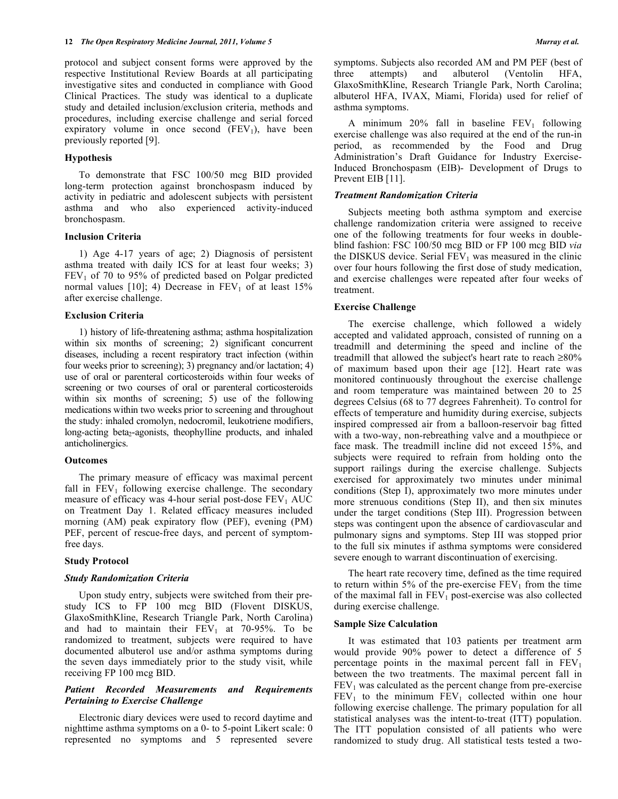protocol and subject consent forms were approved by the respective Institutional Review Boards at all participating investigative sites and conducted in compliance with Good Clinical Practices. The study was identical to a duplicate study and detailed inclusion/exclusion criteria, methods and procedures, including exercise challenge and serial forced expiratory volume in once second  $(FEV_1)$ , have been previously reported [9].

#### **Hypothesis**

 To demonstrate that FSC 100/50 mcg BID provided long-term protection against bronchospasm induced by activity in pediatric and adolescent subjects with persistent asthma and who also experienced activity-induced bronchospasm.

#### **Inclusion Criteria**

 1) Age 4-17 years of age; 2) Diagnosis of persistent asthma treated with daily ICS for at least four weeks; 3)  $FEV<sub>1</sub>$  of 70 to 95% of predicted based on Polgar predicted normal values  $[10]$ ; 4) Decrease in  $FEV_1$  of at least 15% after exercise challenge.

#### **Exclusion Criteria**

 1) history of life-threatening asthma; asthma hospitalization within six months of screening; 2) significant concurrent diseases, including a recent respiratory tract infection (within four weeks prior to screening); 3) pregnancy and/or lactation; 4) use of oral or parenteral corticosteroids within four weeks of screening or two courses of oral or parenteral corticosteroids within six months of screening; 5) use of the following medications within two weeks prior to screening and throughout the study: inhaled cromolyn, nedocromil, leukotriene modifiers, long-acting beta<sub>2</sub>-agonists, theophylline products, and inhaled anticholinergics.

#### **Outcomes**

 The primary measure of efficacy was maximal percent fall in  $FEV<sub>1</sub>$  following exercise challenge. The secondary measure of efficacy was 4-hour serial post-dose  $FEV<sub>1</sub> AUC$ on Treatment Day 1. Related efficacy measures included morning (AM) peak expiratory flow (PEF), evening (PM) PEF, percent of rescue-free days, and percent of symptomfree days.

#### **Study Protocol**

#### *Study Randomization Criteria*

 Upon study entry, subjects were switched from their prestudy ICS to FP 100 mcg BID (Flovent DISKUS, GlaxoSmithKline, Research Triangle Park, North Carolina) and had to maintain their  $FEV_1$  at 70-95%. To be randomized to treatment, subjects were required to have documented albuterol use and/or asthma symptoms during the seven days immediately prior to the study visit, while receiving FP 100 mcg BID.

# *Patient Recorded Measurements and Requirements Pertaining to Exercise Challenge*

 Electronic diary devices were used to record daytime and nighttime asthma symptoms on a 0- to 5-point Likert scale: 0 represented no symptoms and 5 represented severe symptoms. Subjects also recorded AM and PM PEF (best of three attempts) and albuterol (Ventolin HFA, GlaxoSmithKline, Research Triangle Park, North Carolina; albuterol HFA, IVAX, Miami, Florida) used for relief of asthma symptoms.

A minimum  $20\%$  fall in baseline  $FEV_1$  following exercise challenge was also required at the end of the run-in period, as recommended by the Food and Drug Administration's Draft Guidance for Industry Exercise-Induced Bronchospasm (EIB)- Development of Drugs to Prevent EIB [11].

# *Treatment Randomization Criteria*

 Subjects meeting both asthma symptom and exercise challenge randomization criteria were assigned to receive one of the following treatments for four weeks in doubleblind fashion: FSC 100/50 mcg BID or FP 100 mcg BID *via*  the DISKUS device. Serial  $FEV<sub>1</sub>$  was measured in the clinic over four hours following the first dose of study medication, and exercise challenges were repeated after four weeks of treatment.

#### **Exercise Challenge**

 The exercise challenge, which followed a widely accepted and validated approach, consisted of running on a treadmill and determining the speed and incline of the treadmill that allowed the subject's heart rate to reach  $\geq 80\%$ of maximum based upon their age [12]. Heart rate was monitored continuously throughout the exercise challenge and room temperature was maintained between 20 to 25 degrees Celsius (68 to 77 degrees Fahrenheit). To control for effects of temperature and humidity during exercise, subjects inspired compressed air from a balloon-reservoir bag fitted with a two-way, non-rebreathing valve and a mouthpiece or face mask. The treadmill incline did not exceed 15%, and subjects were required to refrain from holding onto the support railings during the exercise challenge. Subjects exercised for approximately two minutes under minimal conditions (Step I), approximately two more minutes under more strenuous conditions (Step II), and then six minutes under the target conditions (Step III). Progression between steps was contingent upon the absence of cardiovascular and pulmonary signs and symptoms. Step III was stopped prior to the full six minutes if asthma symptoms were considered severe enough to warrant discontinuation of exercising.

 The heart rate recovery time, defined as the time required to return within 5% of the pre-exercise  $FEV<sub>1</sub>$  from the time of the maximal fall in  $FEV<sub>1</sub>$  post-exercise was also collected during exercise challenge.

#### **Sample Size Calculation**

 It was estimated that 103 patients per treatment arm would provide 90% power to detect a difference of 5 percentage points in the maximal percent fall in  $FEV<sub>1</sub>$ between the two treatments. The maximal percent fall in  $FEV<sub>1</sub>$  was calculated as the percent change from pre-exercise  $FEV<sub>1</sub>$  to the minimum  $FEV<sub>1</sub>$  collected within one hour following exercise challenge. The primary population for all statistical analyses was the intent-to-treat (ITT) population. The ITT population consisted of all patients who were randomized to study drug. All statistical tests tested a two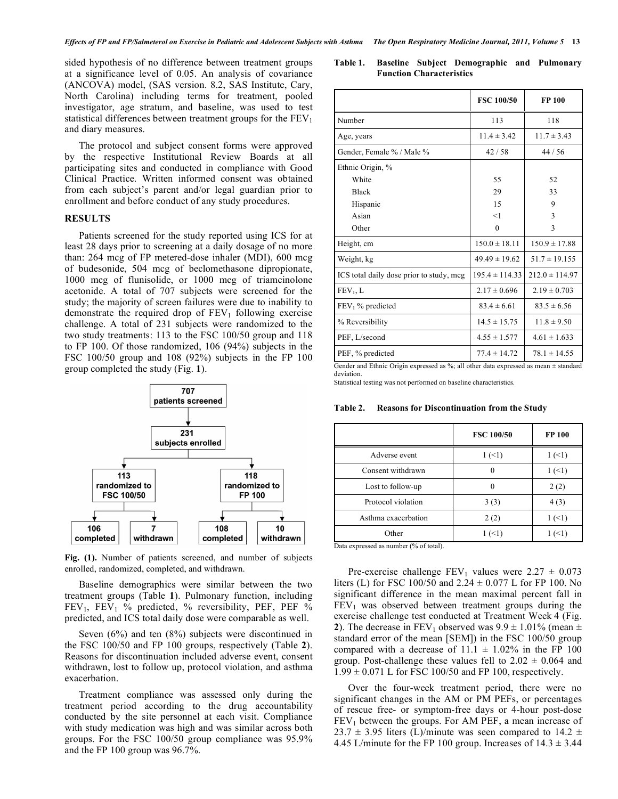sided hypothesis of no difference between treatment groups at a significance level of 0.05. An analysis of covariance (ANCOVA) model, (SAS version. 8.2, SAS Institute, Cary, North Carolina) including terms for treatment, pooled investigator, age stratum, and baseline, was used to test statistical differences between treatment groups for the  $FEV<sub>1</sub>$ and diary measures.

 The protocol and subject consent forms were approved by the respective Institutional Review Boards at all participating sites and conducted in compliance with Good Clinical Practice. Written informed consent was obtained from each subject's parent and/or legal guardian prior to enrollment and before conduct of any study procedures.

#### **RESULTS**

 Patients screened for the study reported using ICS for at least 28 days prior to screening at a daily dosage of no more than: 264 mcg of FP metered-dose inhaler (MDI), 600 mcg of budesonide, 504 mcg of beclomethasone dipropionate, 1000 mcg of flunisolide, or 1000 mcg of triamcinolone acetonide. A total of 707 subjects were screened for the study; the majority of screen failures were due to inability to demonstrate the required drop of  $FEV<sub>1</sub>$  following exercise challenge. A total of 231 subjects were randomized to the two study treatments: 113 to the FSC 100/50 group and 118 to FP 100. Of those randomized, 106 (94%) subjects in the FSC 100/50 group and 108 (92%) subjects in the FP 100 group completed the study (Fig. **1**).

**Fig. (1).** Number of patients screened, and number of subjects enrolled, randomized, completed, and withdrawn.

 Baseline demographics were similar between the two treatment groups (Table **1**). Pulmonary function, including FEV<sub>1</sub>, FEV<sub>1</sub> % predicted, % reversibility, PEF, PEF % predicted, and ICS total daily dose were comparable as well.

 Seven (6%) and ten (8%) subjects were discontinued in the FSC 100/50 and FP 100 groups, respectively (Table **2**). Reasons for discontinuation included adverse event, consent withdrawn, lost to follow up, protocol violation, and asthma exacerbation.

 Treatment compliance was assessed only during the treatment period according to the drug accountability conducted by the site personnel at each visit. Compliance with study medication was high and was similar across both groups. For the FSC 100/50 group compliance was 95.9% and the FP 100 group was 96.7%.

**Table 1. Baseline Subject Demographic and Pulmonary Function Characteristics** 

| <b>FSC 100/50</b>  | <b>FP 100</b>                                                                                |  |
|--------------------|----------------------------------------------------------------------------------------------|--|
| 113                | 118                                                                                          |  |
| $11.4 \pm 3.42$    | $11.7 \pm 3.43$                                                                              |  |
| 42/58              | 44/56                                                                                        |  |
|                    |                                                                                              |  |
| 55                 | 52                                                                                           |  |
| 29                 | 33<br>9                                                                                      |  |
| 15                 |                                                                                              |  |
| <1                 | 3                                                                                            |  |
| $\boldsymbol{0}$   | 3                                                                                            |  |
| $150.0 \pm 18.11$  | $150.9 \pm 17.88$                                                                            |  |
| $49.49 \pm 19.62$  | $51.7 \pm 19.155$                                                                            |  |
| $195.4 \pm 114.33$ | $212.0 \pm 114.97$                                                                           |  |
| $2.17 \pm 0.696$   | $2.19 \pm 0.703$<br>$83.5 \pm 6.56$                                                          |  |
| $83.4 \pm 6.61$    |                                                                                              |  |
| $14.5 \pm 15.75$   | $11.8 \pm 9.50$                                                                              |  |
| $4.55 \pm 1.577$   | $4.61 \pm 1.633$                                                                             |  |
| $77.4 \pm 14.72$   | $78.1 \pm 14.55$                                                                             |  |
|                    | Gender and Ethnic Origin expressed as $\%$ ; all other data expressed as mean $\pm$ standard |  |

deviation.

Statistical testing was not performed on baseline characteristics.

**Table 2. Reasons for Discontinuation from the Study** 

|                     | <b>FSC 100/50</b> | <b>FP 100</b> |
|---------------------|-------------------|---------------|
| Adverse event       | 1(1)              | 1(1)          |
| Consent withdrawn   |                   | 1(1)          |
| Lost to follow-up   |                   | 2(2)          |
| Protocol violation  | 3(3)              | 4(3)          |
| Asthma exacerbation | 2(2)              | $1 \le 1$     |
| Other               | 1(1)              | $(\leq)$      |

Data expressed as number (% of total).

Pre-exercise challenge  $FEV_1$  values were  $2.27 \pm 0.073$ liters (L) for FSC 100/50 and  $2.24 \pm 0.077$  L for FP 100. No significant difference in the mean maximal percent fall in  $FEV<sub>1</sub>$  was observed between treatment groups during the exercise challenge test conducted at Treatment Week 4 (Fig. **2**). The decrease in FEV<sub>1</sub> observed was  $9.9 \pm 1.01\%$  (mean  $\pm$ standard error of the mean [SEM]) in the FSC 100/50 group compared with a decrease of  $11.1 \pm 1.02\%$  in the FP 100 group. Post-challenge these values fell to  $2.02 \pm 0.064$  and  $1.99 \pm 0.071$  L for FSC 100/50 and FP 100, respectively.

 Over the four-week treatment period, there were no significant changes in the AM or PM PEFs, or percentages of rescue free- or symptom-free days or 4-hour post-dose  $FEV<sub>1</sub>$  between the groups. For AM PEF, a mean increase of 23.7  $\pm$  3.95 liters (L)/minute was seen compared to 14.2  $\pm$ 4.45 L/minute for the FP 100 group. Increases of  $14.3 \pm 3.44$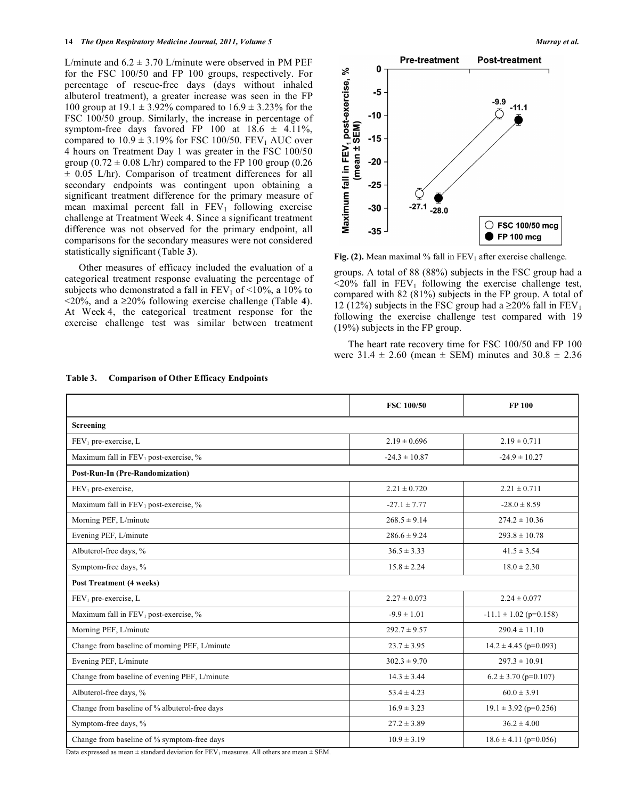L/minute and  $6.2 \pm 3.70$  L/minute were observed in PM PEF for the FSC 100/50 and FP 100 groups, respectively. For percentage of rescue-free days (days without inhaled albuterol treatment), a greater increase was seen in the FP 100 group at  $19.1 \pm 3.92\%$  compared to  $16.9 \pm 3.23\%$  for the FSC 100/50 group. Similarly, the increase in percentage of symptom-free days favored FP 100 at  $18.6 \pm 4.11\%$ , compared to  $10.9 \pm 3.19\%$  for FSC 100/50. FEV<sub>1</sub> AUC over 4 hours on Treatment Day 1 was greater in the FSC 100/50 group  $(0.72 \pm 0.08 \text{ L/hr})$  compared to the FP 100 group  $(0.26$  $\pm$  0.05 L/hr). Comparison of treatment differences for all secondary endpoints was contingent upon obtaining a significant treatment difference for the primary measure of mean maximal percent fall in  $FEV<sub>1</sub>$  following exercise challenge at Treatment Week 4. Since a significant treatment difference was not observed for the primary endpoint, all comparisons for the secondary measures were not considered statistically significant (Table **3**).

 Other measures of efficacy included the evaluation of a categorical treatment response evaluating the percentage of subjects who demonstrated a fall in  $FEV_1$  of  $\leq 10\%$ , a 10% to <20%, and a 20% following exercise challenge (Table **4**). At Week 4, the categorical treatment response for the exercise challenge test was similar between treatment



**Fig. (2).** Mean maximal % fall in  $FEV_1$  after exercise challenge.

groups. A total of 88 (88%) subjects in the FSC group had a  $\leq$ 20% fall in FEV<sub>1</sub> following the exercise challenge test, compared with 82 (81%) subjects in the FP group. A total of 12 (12%) subjects in the FSC group had a  $\geq$ 20% fall in FEV<sub>1</sub> following the exercise challenge test compared with 19 (19%) subjects in the FP group.

 The heart rate recovery time for FSC 100/50 and FP 100 were  $31.4 \pm 2.60$  (mean  $\pm$  SEM) minutes and  $30.8 \pm 2.36$ 

|                                               | <b>FSC 100/50</b>                             | <b>FP 100</b>             |  |
|-----------------------------------------------|-----------------------------------------------|---------------------------|--|
| Screening                                     |                                               |                           |  |
| FEV <sub>1</sub> pre-exercise, L              | $2.19 \pm 0.696$                              | $2.19 \pm 0.711$          |  |
| Maximum fall in $FEV_1$ post-exercise, %      | $-24.3 \pm 10.87$                             | $-24.9 \pm 10.27$         |  |
| <b>Post-Run-In (Pre-Randomization)</b>        |                                               |                           |  |
| $FEV1$ pre-exercise,                          | $2.21 \pm 0.720$                              | $2.21 \pm 0.711$          |  |
| Maximum fall in $FEV_1$ post-exercise, %      | $-27.1 \pm 7.77$                              | $-28.0 \pm 8.59$          |  |
| Morning PEF, L/minute                         | $268.5 \pm 9.14$                              | $274.2 \pm 10.36$         |  |
| Evening PEF, L/minute                         | $286.6 \pm 9.24$<br>$293.8 \pm 10.78$         |                           |  |
| Albuterol-free days, %                        | $36.5 \pm 3.33$<br>$41.5 \pm 3.54$            |                           |  |
| Symptom-free days, %                          | $15.8 \pm 2.24$                               | $18.0 \pm 2.30$           |  |
| <b>Post Treatment (4 weeks)</b>               |                                               |                           |  |
| $FEV_1$ pre-exercise, L                       | $2.27 \pm 0.073$                              | $2.24 \pm 0.077$          |  |
| Maximum fall in $FEV_1$ post-exercise, %      | $-9.9 \pm 1.01$<br>$-11.1 \pm 1.02$ (p=0.158) |                           |  |
| Morning PEF, L/minute                         | $292.7 \pm 9.57$<br>$290.4 \pm 11.10$         |                           |  |
| Change from baseline of morning PEF, L/minute | $14.2 \pm 4.45$ (p=0.093)<br>$23.7 \pm 3.95$  |                           |  |
| Evening PEF, L/minute                         | $297.3 \pm 10.91$<br>$302.3 \pm 9.70$         |                           |  |
| Change from baseline of evening PEF, L/minute | $14.3 \pm 3.44$                               | $6.2 \pm 3.70$ (p=0.107)  |  |
| Albuterol-free days, %                        | $60.0 \pm 3.91$<br>$53.4 \pm 4.23$            |                           |  |
| Change from baseline of % albuterol-free days | $16.9 \pm 3.23$<br>$19.1 \pm 3.92$ (p=0.256)  |                           |  |
| Symptom-free days, %                          | $27.2 \pm 3.89$                               | $36.2 \pm 4.00$           |  |
| Change from baseline of % symptom-free days   | $10.9 \pm 3.19$                               | $18.6 \pm 4.11$ (p=0.056) |  |

**Table 3. Comparison of Other Efficacy Endpoints** 

Data expressed as mean  $\pm$  standard deviation for FEV<sub>1</sub> measures. All others are mean  $\pm$  SEM.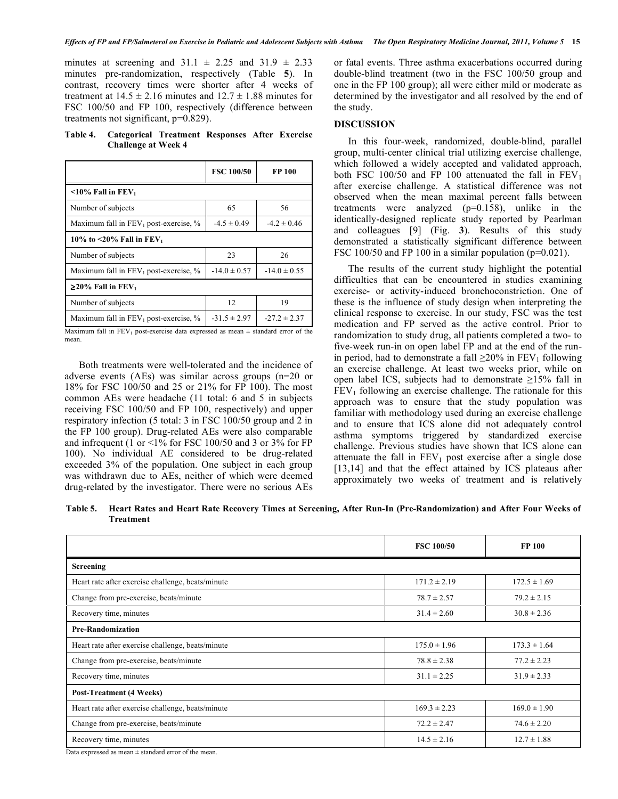minutes at screening and  $31.1 \pm 2.25$  and  $31.9 \pm 2.33$ minutes pre-randomization, respectively (Table **5**). In contrast, recovery times were shorter after 4 weeks of treatment at  $14.5 \pm 2.16$  minutes and  $12.7 \pm 1.88$  minutes for FSC 100/50 and FP 100, respectively (difference between treatments not significant, p=0.829).

**Table 4. Categorical Treatment Responses After Exercise Challenge at Week 4** 

|                                                   | <b>FSC 100/50</b> | FP 100           |  |
|---------------------------------------------------|-------------------|------------------|--|
| $\leq$ 10% Fall in FEV <sub>1</sub>               |                   |                  |  |
| Number of subjects                                | 65                | 56               |  |
| Maximum fall in $FEV_1$ post-exercise, %          | $-4.5 \pm 0.49$   | $-4.2 \pm 0.46$  |  |
| 10% to <20% Fall in $FEV_1$                       |                   |                  |  |
| Number of subjects                                | 23                | 26               |  |
| Maximum fall in $FEV_1$ post-exercise, %          | $-14.0 \pm 0.57$  | $-14.0 \pm 0.55$ |  |
| $\geq$ 20% Fall in FEV <sub>1</sub>               |                   |                  |  |
| Number of subjects                                | 12                | 19               |  |
| Maximum fall in FEV <sub>1</sub> post-exercise, % | $-31.5 \pm 2.97$  | $-27.2 \pm 2.37$ |  |

Maximum fall in FEV<sub>1</sub> post-exercise data expressed as mean  $\pm$  standard error of the mean.

 Both treatments were well-tolerated and the incidence of adverse events (AEs) was similar across groups (n=20 or 18% for FSC 100/50 and 25 or 21% for FP 100). The most common AEs were headache (11 total: 6 and 5 in subjects receiving FSC 100/50 and FP 100, respectively) and upper respiratory infection (5 total: 3 in FSC 100/50 group and 2 in the FP 100 group). Drug-related AEs were also comparable and infrequent (1 or <1% for FSC 100/50 and 3 or 3% for FP 100). No individual AE considered to be drug-related exceeded 3% of the population. One subject in each group was withdrawn due to AEs, neither of which were deemed drug-related by the investigator. There were no serious AEs

or fatal events. Three asthma exacerbations occurred during double-blind treatment (two in the FSC 100/50 group and one in the FP 100 group); all were either mild or moderate as determined by the investigator and all resolved by the end of the study.

#### **DISCUSSION**

 In this four-week, randomized, double-blind, parallel group, multi-center clinical trial utilizing exercise challenge, which followed a widely accepted and validated approach, both FSC 100/50 and FP 100 attenuated the fall in  $FEV<sub>1</sub>$ after exercise challenge. A statistical difference was not observed when the mean maximal percent falls between treatments were analyzed (p=0.158), unlike in the identically-designed replicate study reported by Pearlman and colleagues [9] (Fig. **3**). Results of this study demonstrated a statistically significant difference between FSC 100/50 and FP 100 in a similar population ( $p=0.021$ ).

 The results of the current study highlight the potential difficulties that can be encountered in studies examining exercise- or activity-induced bronchoconstriction. One of these is the influence of study design when interpreting the clinical response to exercise. In our study, FSC was the test medication and FP served as the active control. Prior to randomization to study drug, all patients completed a two- to five-week run-in on open label FP and at the end of the runin period, had to demonstrate a fall  $\geq$ 20% in FEV<sub>1</sub> following an exercise challenge. At least two weeks prior, while on open label ICS, subjects had to demonstrate  $\geq$ 15% fall in  $FEV<sub>1</sub>$  following an exercise challenge. The rationale for this approach was to ensure that the study population was familiar with methodology used during an exercise challenge and to ensure that ICS alone did not adequately control asthma symptoms triggered by standardized exercise challenge. Previous studies have shown that ICS alone can attenuate the fall in  $FEV_1$  post exercise after a single dose [13,14] and that the effect attained by ICS plateaus after approximately two weeks of treatment and is relatively

**Table 5. Heart Rates and Heart Rate Recovery Times at Screening, After Run-In (Pre-Randomization) and After Four Weeks of Treatment** 

|                                                   | <b>FSC 100/50</b> | <b>FP 100</b>    |
|---------------------------------------------------|-------------------|------------------|
| <b>Screening</b>                                  |                   |                  |
| Heart rate after exercise challenge, beats/minute | $171.2 \pm 2.19$  | $172.5 \pm 1.69$ |
| Change from pre-exercise, beats/minute            | $78.7 \pm 2.57$   | $79.2 \pm 2.15$  |
| Recovery time, minutes                            | $31.4 \pm 2.60$   | $30.8 \pm 2.36$  |
| <b>Pre-Randomization</b>                          |                   |                  |
| Heart rate after exercise challenge, beats/minute | $175.0 \pm 1.96$  | $173.3 \pm 1.64$ |
| Change from pre-exercise, beats/minute            | $78.8 \pm 2.38$   | $77.2 \pm 2.23$  |
| Recovery time, minutes                            | $31.1 \pm 2.25$   | $31.9 \pm 2.33$  |
| <b>Post-Treatment (4 Weeks)</b>                   |                   |                  |
| Heart rate after exercise challenge, beats/minute | $169.3 \pm 2.23$  | $169.0 \pm 1.90$ |
| Change from pre-exercise, beats/minute            | $72.2 \pm 2.47$   | $74.6 \pm 2.20$  |
| Recovery time, minutes                            | $14.5 \pm 2.16$   | $12.7 \pm 1.88$  |

Data expressed as mean  $\pm$  standard error of the mean.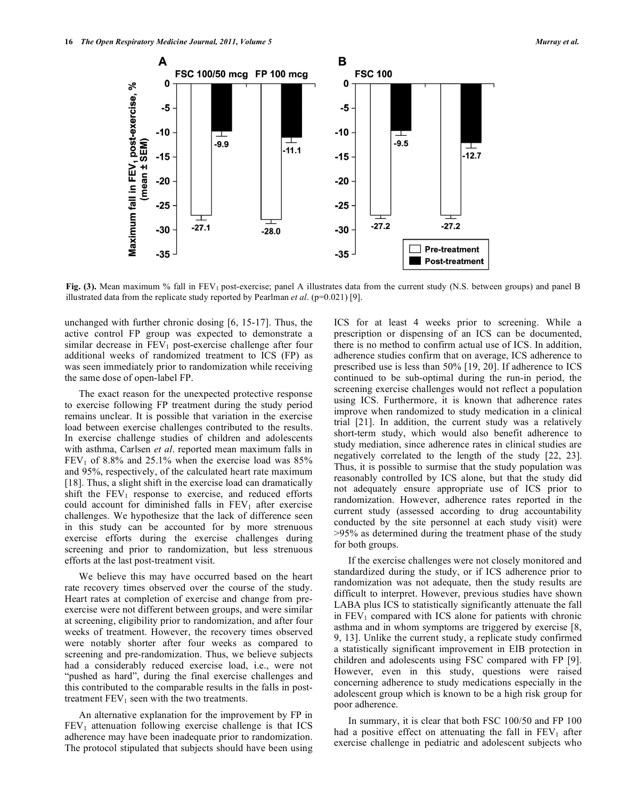

**Fig. (3).** Mean maximum % fall in FEV<sub>1</sub> post-exercise; panel A illustrates data from the current study (N.S. between groups) and panel B illustrated data from the replicate study reported by Pearlman *et al.* (p=0.021) [9].

unchanged with further chronic dosing [6, 15-17]. Thus, the active control FP group was expected to demonstrate a similar decrease in  $FEV<sub>1</sub>$  post-exercise challenge after four additional weeks of randomized treatment to ICS (FP) as was seen immediately prior to randomization while receiving the same dose of open-label FP.

 The exact reason for the unexpected protective response to exercise following FP treatment during the study period remains unclear. It is possible that variation in the exercise load between exercise challenges contributed to the results. In exercise challenge studies of children and adolescents with asthma, Carlsen *et al*. reported mean maximum falls in  $FEV<sub>1</sub>$  of 8.8% and 25.1% when the exercise load was 85% and 95%, respectively, of the calculated heart rate maximum [18]. Thus, a slight shift in the exercise load can dramatically shift the  $FEV_1$  response to exercise, and reduced efforts could account for diminished falls in  $FEV<sub>1</sub>$  after exercise challenges. We hypothesize that the lack of difference seen in this study can be accounted for by more strenuous exercise efforts during the exercise challenges during screening and prior to randomization, but less strenuous efforts at the last post-treatment visit.

 We believe this may have occurred based on the heart rate recovery times observed over the course of the study. Heart rates at completion of exercise and change from preexercise were not different between groups, and were similar at screening, eligibility prior to randomization, and after four weeks of treatment. However, the recovery times observed were notably shorter after four weeks as compared to screening and pre-randomization. Thus, we believe subjects had a considerably reduced exercise load, i.e., were not "pushed as hard", during the final exercise challenges and this contributed to the comparable results in the falls in posttreatment  $FEV<sub>1</sub>$  seen with the two treatments.

 An alternative explanation for the improvement by FP in  $FEV<sub>1</sub>$  attenuation following exercise challenge is that ICS adherence may have been inadequate prior to randomization. The protocol stipulated that subjects should have been using ICS for at least 4 weeks prior to screening. While a prescription or dispensing of an ICS can be documented, there is no method to confirm actual use of ICS. In addition, adherence studies confirm that on average, ICS adherence to prescribed use is less than 50% [19, 20]. If adherence to ICS continued to be sub-optimal during the run-in period, the screening exercise challenges would not reflect a population using ICS. Furthermore, it is known that adherence rates improve when randomized to study medication in a clinical trial [21]. In addition, the current study was a relatively short-term study, which would also benefit adherence to study mediation, since adherence rates in clinical studies are negatively correlated to the length of the study [22, 23]. Thus, it is possible to surmise that the study population was reasonably controlled by ICS alone, but that the study did not adequately ensure appropriate use of ICS prior to randomization. However, adherence rates reported in the current study (assessed according to drug accountability conducted by the site personnel at each study visit) were >95% as determined during the treatment phase of the study for both groups.

 If the exercise challenges were not closely monitored and standardized during the study, or if ICS adherence prior to randomization was not adequate, then the study results are difficult to interpret. However, previous studies have shown LABA plus ICS to statistically significantly attenuate the fall in  $FEV<sub>1</sub>$  compared with ICS alone for patients with chronic asthma and in whom symptoms are triggered by exercise [8, 9, 13]. Unlike the current study, a replicate study confirmed a statistically significant improvement in EIB protection in children and adolescents using FSC compared with FP [9]. However, even in this study, questions were raised concerning adherence to study medications especially in the adolescent group which is known to be a high risk group for poor adherence.

 In summary, it is clear that both FSC 100/50 and FP 100 had a positive effect on attenuating the fall in  $FEV<sub>1</sub>$  after exercise challenge in pediatric and adolescent subjects who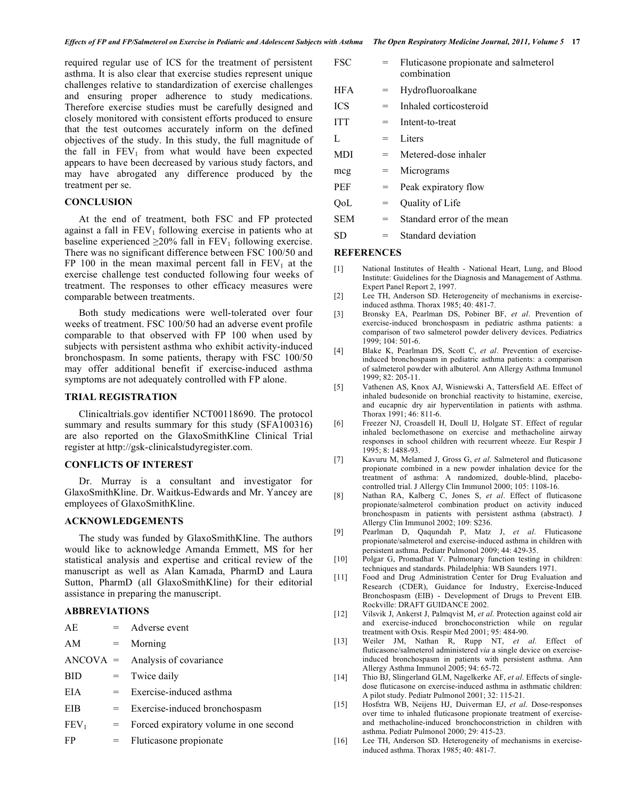required regular use of ICS for the treatment of persistent asthma. It is also clear that exercise studies represent unique challenges relative to standardization of exercise challenges and ensuring proper adherence to study medications. Therefore exercise studies must be carefully designed and closely monitored with consistent efforts produced to ensure that the test outcomes accurately inform on the defined objectives of the study. In this study, the full magnitude of the fall in  $FEV_1$  from what would have been expected appears to have been decreased by various study factors, and may have abrogated any difference produced by the treatment per se.

#### **CONCLUSION**

 At the end of treatment, both FSC and FP protected against a fall in  $FEV<sub>1</sub>$  following exercise in patients who at baseline experienced  $\geq$ 20% fall in FEV<sub>1</sub> following exercise. There was no significant difference between FSC 100/50 and FP 100 in the mean maximal percent fall in  $FEV<sub>1</sub>$  at the exercise challenge test conducted following four weeks of treatment. The responses to other efficacy measures were comparable between treatments.

 Both study medications were well-tolerated over four weeks of treatment. FSC 100/50 had an adverse event profile comparable to that observed with FP 100 when used by subjects with persistent asthma who exhibit activity-induced bronchospasm. In some patients, therapy with FSC 100/50 may offer additional benefit if exercise-induced asthma symptoms are not adequately controlled with FP alone.

#### **TRIAL REGISTRATION**

 Clinicaltrials.gov identifier NCT00118690. The protocol summary and results summary for this study (SFA100316) are also reported on the GlaxoSmithKline Clinical Trial register at http://gsk-clinicalstudyregister.com.

#### **CONFLICTS OF INTEREST**

 Dr. Murray is a consultant and investigator for GlaxoSmithKline. Dr. Waitkus-Edwards and Mr. Yancey are employees of GlaxoSmithKline.

#### **ACKNOWLEDGEMENTS**

 The study was funded by GlaxoSmithKline. The authors would like to acknowledge Amanda Emmett, MS for her statistical analysis and expertise and critical review of the manuscript as well as Alan Kamada, PharmD and Laura Sutton, PharmD (all GlaxoSmithKline) for their editorial assistance in preparing the manuscript.

# **ABBREVIATIONS**

| AE.              |     | $=$ Adverse event                        |
|------------------|-----|------------------------------------------|
| AM               | $=$ | Morning                                  |
|                  |     | $ANCOVA =$ Analysis of covariance        |
| <b>BID</b>       |     | $=$ Twice daily                          |
| EIA              |     | $=$ Exercise-induced asthma              |
| EIB              |     | $=$ Exercise-induced bronchospasm        |
| FEV <sub>1</sub> |     | = Forced expiratory volume in one second |
| FP               |     | $=$ Fluticasone propionate               |

| <b>FSC</b> | $=$ | Fluticasone propionate and salmeterol<br>combination |
|------------|-----|------------------------------------------------------|
| <b>HFA</b> | $=$ | Hydrofluoroalkane                                    |
| <b>ICS</b> | $=$ | Inhaled corticosteroid                               |
| <b>ITT</b> | $=$ | Intent-to-treat                                      |
| L          | $=$ | Liters                                               |
| <b>MDI</b> | $=$ | Metered-dose inhaler                                 |
| mcg        | $=$ | Micrograms                                           |
| <b>PEF</b> | $=$ | Peak expiratory flow                                 |
| OoL        | $=$ | Quality of Life                                      |
| SEM        | $=$ | Standard error of the mean                           |
|            |     |                                                      |

SD = Standard deviation

# **REFERENCES**

- [1] National Institutes of Health National Heart, Lung, and Blood Institute: Guidelines for the Diagnosis and Management of Asthma. Expert Panel Report 2, 1997.
- [2] Lee TH, Anderson SD. Heterogeneity of mechanisms in exerciseinduced asthma. Thorax 1985; 40: 481-7.
- [3] Bronsky EA, Pearlman DS, Pobiner BF, *et al*. Prevention of exercise-induced bronchospasm in pediatric asthma patients: a comparison of two salmeterol powder delivery devices. Pediatrics 1999; 104: 501-6.
- [4] Blake K, Pearlman DS, Scott C, *et al*. Prevention of exerciseinduced bronchospasm in pediatric asthma patients: a comparison of salmeterol powder with albuterol. Ann Allergy Asthma Immunol 1999; 82: 205-11.
- [5] Vathenen AS, Knox AJ, Wisniewski A, Tattersfield AE. Effect of inhaled budesonide on bronchial reactivity to histamine, exercise, and eucapnic dry air hyperventilation in patients with asthma. Thorax 1991; 46: 811-6.
- [6] Freezer NJ, Croasdell H, Doull IJ, Holgate ST. Effect of regular inhaled beclomethasone on exercise and methacholine airway responses in school children with recurrent wheeze. Eur Respir J 1995; 8: 1488-93.
- [7] Kavuru M, Melamed J, Gross G, *et al*. Salmeterol and fluticasone propionate combined in a new powder inhalation device for the treatment of asthma: A randomized, double-blind, placebocontrolled trial. J Allergy Clin Immunol 2000; 105: 1108-16.
- [8] Nathan RA, Kalberg C, Jones S, *et al*. Effect of fluticasone propionate/salmeterol combination product on activity induced bronchospasm in patients with persistent asthma (abstract). J Allergy Clin Immunol 2002; 109: S236.
- [9] Pearlman D, Qaqundah P, Matz J, *et al*. Fluticasone propionate/salmeterol and exercise-induced asthma in children with persistent asthma. Pediatr Pulmonol 2009; 44: 429-35.
- [10] Polgar G, Promadhat V. Pulmonary function testing in children: techniques and standards. Philadelphia: WB Saunders 1971.
- [11] Food and Drug Administration Center for Drug Evaluation and Research (CDER), Guidance for Industry, Exercise-Induced Bronchospasm (EIB) - Development of Drugs to Prevent EIB. Rockville: DRAFT GUIDANCE 2002.
- [12] Vilsvik J, Ankerst J, Palmqvist M, *et al*. Protection against cold air and exercise-induced bronchoconstriction while on regular treatment with Oxis. Respir Med 2001; 95: 484-90.
- [13] Weiler JM, Nathan R, Rupp NT, *et al*. Effect of fluticasone/salmeterol administered *via* a single device on exerciseinduced bronchospasm in patients with persistent asthma. Ann Allergy Asthma Immunol 2005; 94: 65-72.
- [14] Thio BJ, Slingerland GLM, Nagelkerke AF, *et al*. Effects of singledose fluticasone on exercise-induced asthma in asthmatic children: A pilot study. Pediatr Pulmonol 2001; 32: 115-21.
- [15] Hosfstra WB, Neijens HJ, Duiverman EJ, *et al*. Dose-responses over time to inhaled fluticasone propionate treatment of exerciseand methacholine-induced bronchoconstriction in children with asthma. Pediatr Pulmonol 2000; 29: 415-23.
- [16] Lee TH, Anderson SD. Heterogeneity of mechanisms in exerciseinduced asthma. Thorax 1985; 40: 481-7.